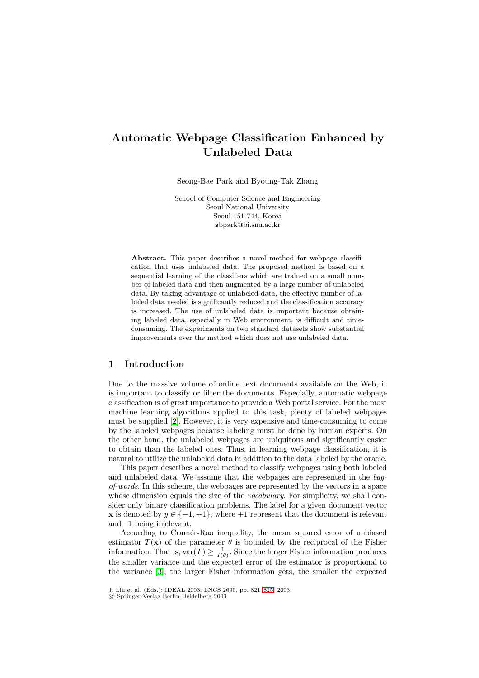# **Automatic Webpage Classification Enhanced by Unlabeled Data**

Seong-Bae Park and Byoung-Tak Zhang

School of Computer Science and Engineering Seoul National University Seoul 151-744, Korea sbpark@bi.snu.ac.kr

**Abstract.** This paper describes a novel method for webpage classification that uses unlabeled data. The proposed method is based on a sequential learning of the classifiers which are trained on a small number of labeled data and then augmented by a large number of unlabeled data. By taking advantage of unlabeled data, the effective number of labeled data needed is significantly reduced and the classification accuracy is increased. The use of unlabeled data is important because obtaining labeled data, especially in Web environment, is difficult and timeconsuming. The experiments on two standard datasets show substantial improvements over the method which does not use unlabeled data.

## **1 Introduction**

Due to the massive volume of online text documents available on the Web, it is important to classify or filter the documents. Especially, automatic webpage classification is of great importance to provide a Web portal service. For the most machine learning algorithms applied to this task, plenty of labeled webpages must be supplied [\[2\]](#page-4-0). However, it is very expensive and time-consuming to come by the labeled webpages because labeling must be done by human experts. On the other hand, the unlabeled webpages are ubiquitous and significantly easier to obtain than the labeled ones. Thus, in learning webpage classification, it is natural to utilize the unlabeled data in addition to the data labeled by the oracle.

This paper describes a novel method to classify webpages using both labeled and unlabeled data. We assume that the webpages are represented in the *bagof-words*. In this scheme, the webpages are represented by the vectors in a space whose dimension equals the size of the *vocabulary*. For simplicity, we shall consider only binary classification problems. The label for a given document vector **x** is denoted by  $y \in \{-1, +1\}$ , where  $+1$  represent that the document is relevant and –1 being irrelevant.

According to Cramér-Rao inequality, the mean squared error of unbiased estimator  $T(\mathbf{x})$  of the parameter  $\theta$  is bounded by the reciprocal of the Fisher information. That is,  $var(T) \geq \frac{1}{I(\theta)}$ . Since the larger Fisher information produces the smaller variance and the expected error of the estimator is proportional to the variance [\[3\]](#page-4-0), the larger Fisher information gets, the smaller the expected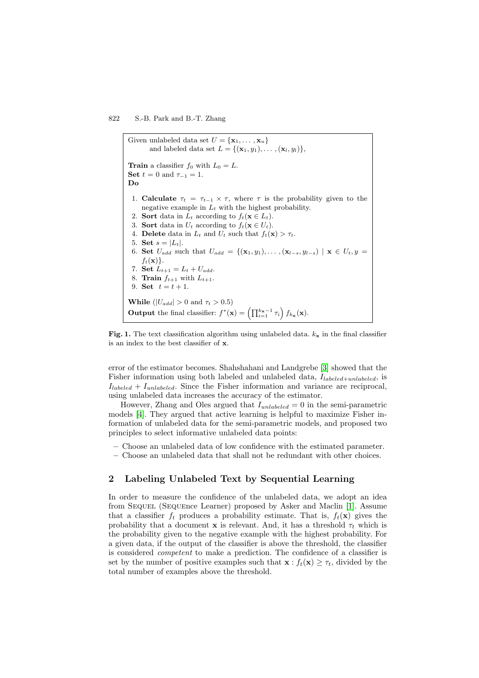<span id="page-1-0"></span>Given unlabeled data set  $U = {\mathbf{x}_1, \dots, \mathbf{x}_u}$ and labeled data set  $L = \{(\mathbf{x}_1, y_1), \ldots, (\mathbf{x}_l, y_l)\},\$ **Train** a classifier  $f_0$  with  $L_0 = L$ . **Set**  $t = 0$  and  $\tau_{-1} = 1$ .<br>**Do** 1. **Calculate**  $\tau_t = \tau_{t-1} \times \tau$ , where  $\tau$  is the probability given to the negative example in  $L_t$  with the highest probability. 2. **Sort** data in  $L_t$  according to  $f_t(\mathbf{x} \in L_t)$ . 3. **Sort** data in  $U_t$  according to  $f_t(\mathbf{x} \in U_t)$ . 4. **Delete** data in  $L_t$  and  $U_t$  such that  $f_t(\mathbf{x}) > \tau_t$ . 5. **Set**  $s = |L_t|$ . 6. **Set**  $U_{add}$  such that  $U_{add} = \{(\mathbf{x}_1, y_1), \ldots, (\mathbf{x}_{l-s}, y_{l-s}) \mid \mathbf{x} \in U_t, y =$  $f_t(\mathbf{x})\}.$ 7. **Set**  $L_{t+1} = L_t + U_{add}$ . 8. **Train**  $f_{t+1}$  with  $L_{t+1}$ . 9. **Set**  $t = t + 1$ . **While** ( $|U_{add}| > 0$  and  $\tau_t > 0.5$ ) **Output** the final classifier:  $f^*(\mathbf{x}) = \left(\prod_{i=1}^{k_{\mathbf{x}}-1} \tau_i\right) f_{k_{\mathbf{x}}}(\mathbf{x}).$ 

**Fig. 1.** The text classification algorithm using unlabeled data.  $k_x$  in the final classifier is an index to the best classifier of **x**.

error of the estimator becomes. Shahshahani and Landgrebe [\[3\]](#page-4-0) showed that the Fisher information using both labeled and unlabeled data,  $I_{labeled+unlabeled}$ , is  $I_{labeled} + I_{unlabeled}$ . Since the Fisher information and variance are reciprocal, using unlabeled data increases the accuracy of the estimator.

However, Zhang and Oles argued that  $I_{unlabeled} = 0$  in the semi-parametric models [\[4\]](#page-4-0). They argued that active learning is helpful to maximize Fisher information of unlabeled data for the semi-parametric models, and proposed two principles to select informative unlabeled data points:

- **–** Choose an unlabeled data of low confidence with the estimated parameter.
- **–** Choose an unlabeled data that shall not be redundant with other choices.

## **2 Labeling Unlabeled Text by Sequential Learning**

In order to measure the confidence of the unlabeled data, we adopt an idea from SEQUEL (SEQUEnce Learner) proposed by Asker and Maclin [\[1\]](#page-4-0). Assume that a classifier  $f_t$  produces a probability estimate. That is,  $f_t(\mathbf{x})$  gives the probability that a document **x** is relevant. And, it has a threshold  $\tau_t$  which is the probability given to the negative example with the highest probability. For a given data, if the output of the classifier is above the threshold, the classifier is considered *competent* to make a prediction. The confidence of a classifier is set by the number of positive examples such that  $\mathbf{x} : f_t(\mathbf{x}) \geq \tau_t$ , divided by the total number of examples above the threshold.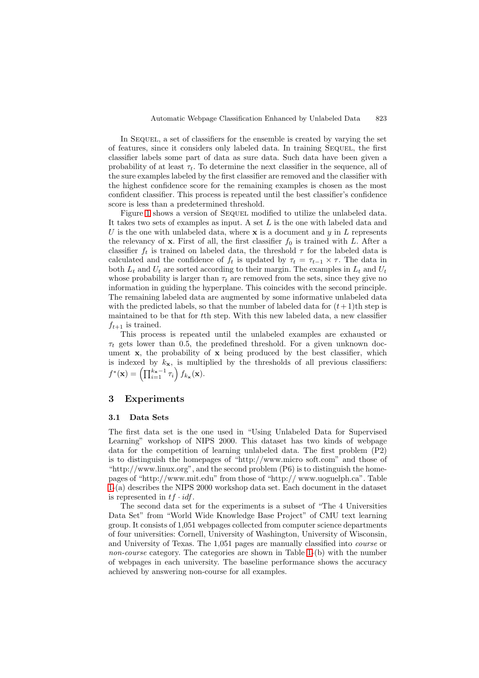In Sequel, a set of classifiers for the ensemble is created by varying the set of features, since it considers only labeled data. In training Sequel, the first classifier labels some part of data as sure data. Such data have been given a probability of at least  $\tau_t$ . To determine the next classifier in the sequence, all of the sure examples labeled by the first classifier are removed and the classifier with the highest confidence score for the remaining examples is chosen as the most confident classifier. This process is repeated until the best classifier's confidence score is less than a predetermined threshold.

Figure [1](#page-1-0) shows a version of SEQUEL modified to utilize the unlabeled data. It takes two sets of examples as input. A set L is the one with labeled data and U is the one with unlabeled data, where **x** is a document and y in L represents the relevancy of **x**. First of all, the first classifier  $f_0$  is trained with L. After a classifier  $f_t$  is trained on labeled data, the threshold  $\tau$  for the labeled data is calculated and the confidence of  $f_t$  is updated by  $\tau_t = \tau_{t-1} \times \tau$ . The data in both  $L_t$  and  $U_t$  are sorted according to their margin. The examples in  $L_t$  and  $U_t$ whose probability is larger than  $\tau_t$  are removed from the sets, since they give no information in guiding the hyperplane. This coincides with the second principle. The remaining labeled data are augmented by some informative unlabeled data with the predicted labels, so that the number of labeled data for  $(t+1)$ th step is maintained to be that for tth step. With this new labeled data, a new classifier  $f_{t+1}$  is trained.

This process is repeated until the unlabeled examples are exhausted or  $\tau_t$  gets lower than 0.5, the predefined threshold. For a given unknown document **x**, the probability of **x** being produced by the best classifier, which is indexed by  $k_x$ , is multiplied by the thresholds of all previous classifiers:  $f^*(\mathbf{x}) = \left(\prod_{i=1}^{k_{\mathbf{x}}-1} \tau_i\right) f_{k_{\mathbf{x}}}(\mathbf{x}).$ 

### **3 Experiments**

#### **3.1 Data Sets**

The first data set is the one used in "Using Unlabeled Data for Supervised Learning" workshop of NIPS 2000. This dataset has two kinds of webpage data for the competition of learning unlabeled data. The first problem (P2) is to distinguish the homepages of "http://www.micro soft.com" and those of "http://www.linux.org", and the second problem  $(P6)$  is to distinguish the homepages of "http://www.mit.edu" from those of "http:// www.uoguelph.ca". Table [1-](#page-3-0)(a) describes the NIPS 2000 workshop data set. Each document in the dataset is represented in  $tf \cdot idf$ .

The second data set for the experiments is a subset of "The 4 Universities Data Set" from "World Wide Knowledge Base Project" of CMU text learning group. It consists of 1,051 webpages collected from computer science departments of four universities: Cornell, University of Washington, University of Wisconsin, and University of Texas. The 1,051 pages are manually classified into *course* or *non-course* category. The categories are shown in Table [1-](#page-3-0)(b) with the number of webpages in each university. The baseline performance shows the accuracy achieved by answering non-course for all examples.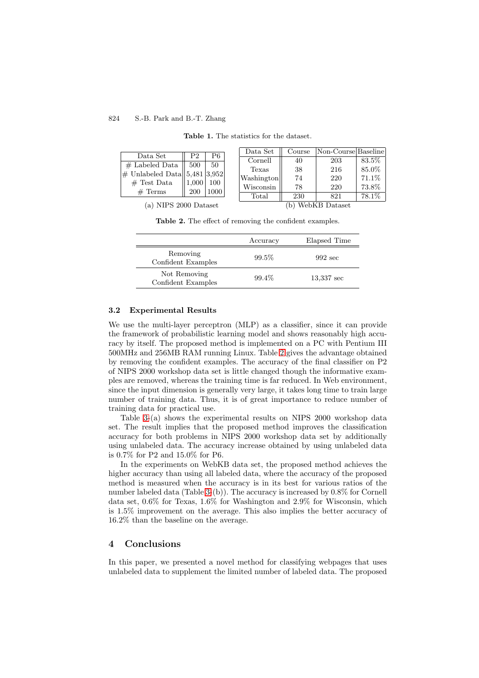<span id="page-3-0"></span>

| Data Set                        | P <sub>2</sub> | P6   |
|---------------------------------|----------------|------|
| $#$ Labeled Data $\parallel$    | 500            | -50  |
| $\#$ Unlabeled Data 5,481 3,952 |                |      |
| $\#$ Test Data                  | $1,000$ 100    |      |
| $#$ Terms                       | 200            | 1000 |

**Table 1.** The statistics for the dataset.

| Data Set   | Course | Non-Course Baseline |       |
|------------|--------|---------------------|-------|
| Cornell    | 40     | 203                 | 83.5% |
| Texas      | 38     | 216                 | 85.0% |
| Washington | 74     | 220                 | 71.1% |
| Wisconsin  | 78     | 220                 | 73.8% |
| Total      | 230    | 821                 | 78.1% |

(a) NIPS 2000 Dataset (b) WebKB Dataset

**Table 2.** The effect of removing the confident examples.

| Elapsed Time<br>Accuracy |                   |
|--------------------------|-------------------|
| $992 \text{ sec}$        |                   |
| 13,337 sec               |                   |
|                          | $99.5\%$<br>99.4% |

#### **3.2 Experimental Results**

We use the multi-layer perceptron (MLP) as a classifier, since it can provide the framework of probabilistic learning model and shows reasonably high accuracy by itself. The proposed method is implemented on a PC with Pentium III 500MHz and 256MB RAM running Linux. Table 2 gives the advantage obtained by removing the confident examples. The accuracy of the final classifier on P2 of NIPS 2000 workshop data set is little changed though the informative examples are removed, whereas the training time is far reduced. In Web environment, since the input dimension is generally very large, it takes long time to train large number of training data. Thus, it is of great importance to reduce number of training data for practical use.

Table [3-](#page-4-0)(a) shows the experimental results on NIPS 2000 workshop data set. The result implies that the proposed method improves the classification accuracy for both problems in NIPS 2000 workshop data set by additionally using unlabeled data. The accuracy increase obtained by using unlabeled data is 0.7% for P2 and 15.0% for P6.

In the experiments on WebKB data set, the proposed method achieves the higher accuracy than using all labeled data, where the accuracy of the proposed method is measured when the accuracy is in its best for various ratios of the number labeled data (Table [3-](#page-4-0)(b)). The accuracy is increased by 0.8% for Cornell data set, 0.6% for Texas, 1.6% for Washington and 2.9% for Wisconsin, which is 1.5% improvement on the average. This also implies the better accuracy of 16.2% than the baseline on the average.

## **4 Conclusions**

In this paper, we presented a novel method for classifying webpages that uses unlabeled data to supplement the limited number of labeled data. The proposed